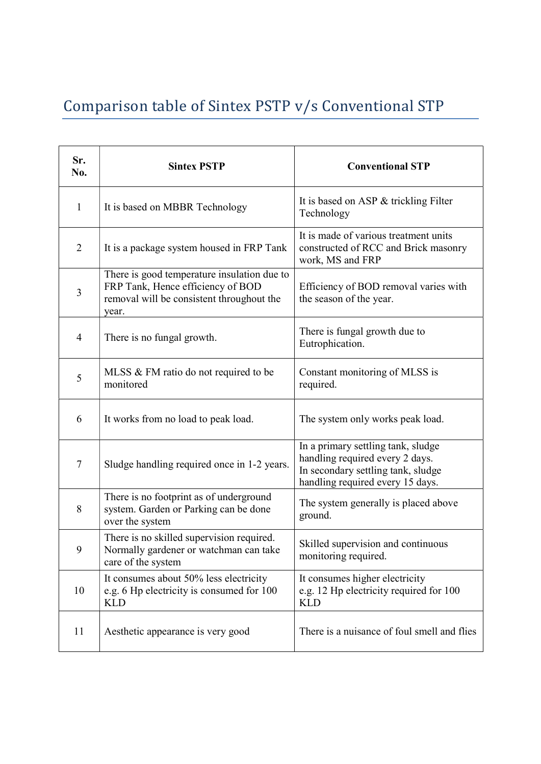## Comparison table of Sintex PSTP v/s Conventional STP

| Sr.<br>No.     | <b>Sintex PSTP</b>                                                                                                                     | <b>Conventional STP</b>                                                                                                                         |
|----------------|----------------------------------------------------------------------------------------------------------------------------------------|-------------------------------------------------------------------------------------------------------------------------------------------------|
| $\mathbf{1}$   | It is based on MBBR Technology                                                                                                         | It is based on ASP & trickling Filter<br>Technology                                                                                             |
| $\overline{2}$ | It is a package system housed in FRP Tank                                                                                              | It is made of various treatment units<br>constructed of RCC and Brick masonry<br>work, MS and FRP                                               |
| 3              | There is good temperature insulation due to<br>FRP Tank, Hence efficiency of BOD<br>removal will be consistent throughout the<br>year. | Efficiency of BOD removal varies with<br>the season of the year.                                                                                |
| $\overline{4}$ | There is no fungal growth.                                                                                                             | There is fungal growth due to<br>Eutrophication.                                                                                                |
| 5              | MLSS & FM ratio do not required to be<br>monitored                                                                                     | Constant monitoring of MLSS is<br>required.                                                                                                     |
| 6              | It works from no load to peak load.                                                                                                    | The system only works peak load.                                                                                                                |
| 7              | Sludge handling required once in 1-2 years.                                                                                            | In a primary settling tank, sludge<br>handling required every 2 days.<br>In secondary settling tank, sludge<br>handling required every 15 days. |
| 8              | There is no footprint as of underground<br>system. Garden or Parking can be done<br>over the system                                    | The system generally is placed above<br>ground.                                                                                                 |
| 9              | There is no skilled supervision required.<br>Normally gardener or watchman can take<br>care of the system                              | Skilled supervision and continuous<br>monitoring required.                                                                                      |
| 10             | It consumes about 50% less electricity<br>e.g. 6 Hp electricity is consumed for 100<br><b>KLD</b>                                      | It consumes higher electricity<br>e.g. 12 Hp electricity required for 100<br><b>KLD</b>                                                         |
| 11             | Aesthetic appearance is very good                                                                                                      | There is a nuisance of foul smell and flies                                                                                                     |